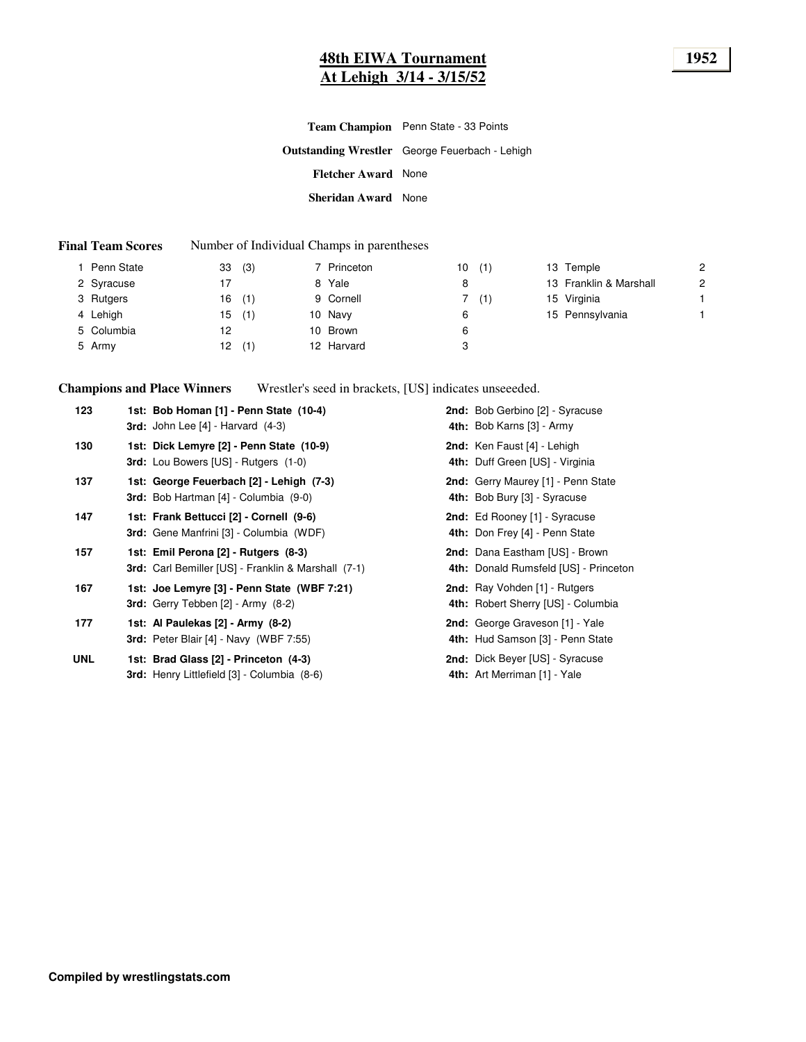# **48th EIWA Tournament 1952 At Lehigh 3/14 - 3/15/52**

|                            | <b>Team Champion</b> Penn State - 33 Points           |
|----------------------------|-------------------------------------------------------|
|                            | <b>Outstanding Wrestler</b> George Feuerbach - Lehigh |
| <b>Fletcher Award</b> None |                                                       |
| Sheridan Award None        |                                                       |

#### **Final Team Scores** Number of Individual Champs in parentheses

| l Penn State | 33  | (3) | 7 Princeton | 10 | (1) | 13 Temple              | 2 |
|--------------|-----|-----|-------------|----|-----|------------------------|---|
| 2 Syracuse   |     |     | 8 Yale      | 8  |     | 13 Franklin & Marshall | 2 |
| 3 Rutgers    | 16  | (1) | 9 Cornell   |    | (1) | 15 Virginia            |   |
| 4 Lehigh     | 15  | (1) | 10 Navy     | 6  |     | 15 Pennsylvania        |   |
| 5 Columbia   | 12  |     | 10 Brown    | 6  |     |                        |   |
| 5 Army       | 12. | (1) | 12 Harvard  | 3  |     |                        |   |

**Champions and Place Winners** Wrestler's seed in brackets, [US] indicates unseeeded.

| 123        | 1st: Bob Homan [1] - Penn State (10-4)<br>3rd: John Lee $[4]$ - Harvard $(4-3)$              | 2nd: Bob Gerbino [2] - Syracuse<br>4th: Bob Karns [3] - Army            |
|------------|----------------------------------------------------------------------------------------------|-------------------------------------------------------------------------|
| 130        | 1st: Dick Lemyre [2] - Penn State (10-9)<br><b>3rd:</b> Lou Bowers [US] - Rutgers (1-0)      | 2nd: Ken Faust [4] - Lehigh<br>4th: Duff Green [US] - Virginia          |
| 137        | 1st: George Feuerbach [2] - Lehigh (7-3)<br><b>3rd:</b> Bob Hartman [4] - Columbia (9-0)     | 2nd: Gerry Maurey [1] - Penn State<br>4th: Bob Bury [3] - Syracuse      |
| 147        | 1st: Frank Bettucci [2] - Cornell (9-6)<br><b>3rd:</b> Gene Manfrini [3] - Columbia (WDF)    | 2nd: Ed Rooney [1] - Syracuse<br>4th: Don Frey [4] - Penn State         |
| 157        | 1st: Emil Perona [2] - Rutgers (8-3)<br>3rd: Carl Bemiller [US] - Franklin & Marshall (7-1)  | 2nd: Dana Eastham [US] - Brown<br>4th: Donald Rumsfeld [US] - Princeton |
| 167        | 1st: Joe Lemyre [3] - Penn State (WBF 7:21)<br><b>3rd:</b> Gerry Tebben $[2]$ - Army $(8-2)$ | 2nd: Ray Vohden [1] - Rutgers<br>4th: Robert Sherry [US] - Columbia     |
| 177        | 1st: Al Paulekas [2] - Army (8-2)<br><b>3rd:</b> Peter Blair [4] - Navy (WBF 7:55)           | 2nd: George Graveson [1] - Yale<br>4th: Hud Samson [3] - Penn State     |
| <b>UNL</b> | 1st: Brad Glass [2] - Princeton (4-3)<br>3rd: Henry Littlefield [3] - Columbia (8-6)         | <b>2nd:</b> Dick Beyer [US] - Syracuse<br>4th: Art Merriman [1] - Yale  |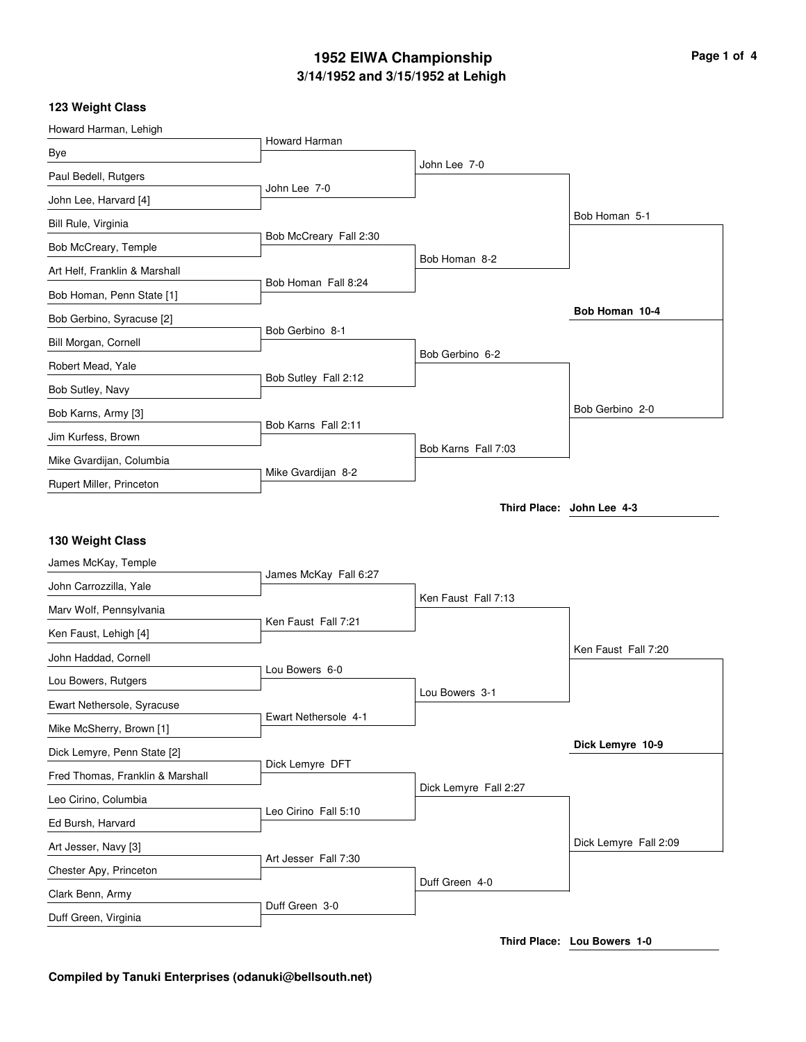### **3/14/1952 and 3/15/1952 at Lehigh 1952 EIWA Championship Page 1 of 4**

#### **123 Weight Class**

| Howard Harman, Lehigh            | Howard Harman          |                       |                           |
|----------------------------------|------------------------|-----------------------|---------------------------|
| Bye                              |                        |                       |                           |
| Paul Bedell, Rutgers             |                        | John Lee 7-0          |                           |
| John Lee, Harvard [4]            | John Lee 7-0           |                       |                           |
| Bill Rule, Virginia              |                        |                       | Bob Homan 5-1             |
| Bob McCreary, Temple             | Bob McCreary Fall 2:30 |                       |                           |
| Art Helf, Franklin & Marshall    |                        | Bob Homan 8-2         |                           |
| Bob Homan, Penn State [1]        | Bob Homan Fall 8:24    |                       |                           |
| Bob Gerbino, Syracuse [2]        |                        |                       | Bob Homan 10-4            |
| Bill Morgan, Cornell             | Bob Gerbino 8-1        |                       |                           |
| Robert Mead, Yale                |                        | Bob Gerbino 6-2       |                           |
| Bob Sutley, Navy                 | Bob Sutley Fall 2:12   |                       |                           |
| Bob Karns, Army [3]              |                        |                       | Bob Gerbino 2-0           |
| Jim Kurfess, Brown               | Bob Karns Fall 2:11    |                       |                           |
| Mike Gvardijan, Columbia         |                        | Bob Karns Fall 7:03   |                           |
| Rupert Miller, Princeton         | Mike Gvardijan 8-2     |                       |                           |
| 130 Weight Class                 |                        |                       | Third Place: John Lee 4-3 |
| James McKay, Temple              |                        |                       |                           |
| John Carrozzilla, Yale           | James McKay Fall 6:27  |                       |                           |
| Marv Wolf, Pennsylvania          |                        | Ken Faust Fall 7:13   |                           |
| Ken Faust, Lehigh [4]            | Ken Faust Fall 7:21    |                       |                           |
| John Haddad, Cornell             |                        |                       | Ken Faust Fall 7:20       |
| Lou Bowers, Rutgers              | Lou Bowers 6-0         |                       |                           |
| Ewart Nethersole, Syracuse       |                        | Lou Bowers 3-1        |                           |
| Mike McSherry, Brown [1]         | Ewart Nethersole 4-1   |                       |                           |
| Dick Lemyre, Penn State [2]      | Dick Lemyre DFT        |                       | Dick Lemyre 10-9          |
| Fred Thomas, Franklin & Marshall |                        | Dick Lemyre Fall 2:27 |                           |
| Leo Cirino, Columbia             | Leo Cirino Fall 5:10   |                       |                           |
| Ed Bursh, Harvard                |                        |                       |                           |
| Art Jesser, Navy [3]             | Art Jesser Fall 7:30   |                       | Dick Lemyre Fall 2:09     |
| Chester Apy, Princeton           |                        | Duff Green 4-0        |                           |
| Clark Benn, Army                 |                        |                       |                           |
|                                  | Duff Green 3-0         |                       |                           |

**Third Place: Lou Bowers 1-0**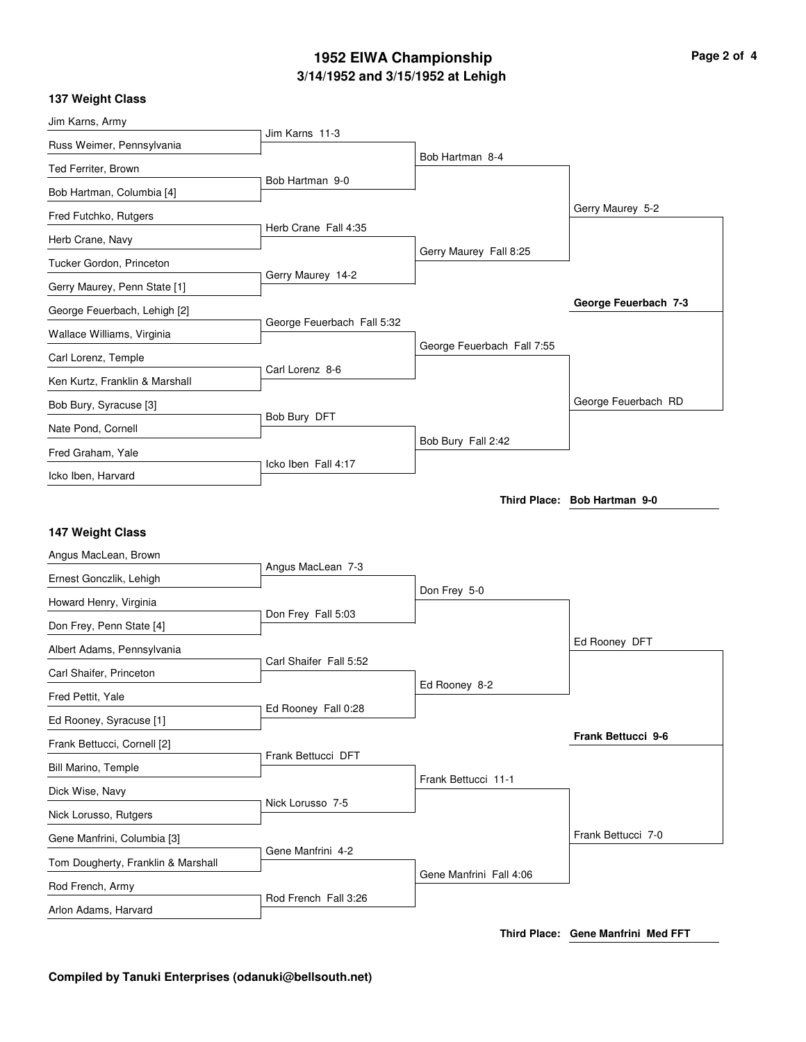## **3/14/1952 and 3/15/1952 at Lehigh 1952 EIWA Championship Page 2 of 4**

|  | <b>137 Weight Class</b> |  |
|--|-------------------------|--|
|--|-------------------------|--|

| Jim Karns, Army                    |                            |                            |                              |
|------------------------------------|----------------------------|----------------------------|------------------------------|
| Russ Weimer, Pennsylvania          | Jim Karns 11-3             |                            |                              |
| Ted Ferriter, Brown                |                            | Bob Hartman 8-4            |                              |
| Bob Hartman, Columbia [4]          | Bob Hartman 9-0            |                            |                              |
| Fred Futchko, Rutgers              |                            |                            | Gerry Maurey 5-2             |
| Herb Crane, Navy                   | Herb Crane Fall 4:35       |                            |                              |
| Tucker Gordon, Princeton           |                            | Gerry Maurey Fall 8:25     |                              |
| Gerry Maurey, Penn State [1]       | Gerry Maurey 14-2          |                            |                              |
| George Feuerbach, Lehigh [2]       |                            |                            | George Feuerbach 7-3         |
| Wallace Williams, Virginia         | George Feuerbach Fall 5:32 |                            |                              |
| Carl Lorenz, Temple                |                            | George Feuerbach Fall 7:55 |                              |
| Ken Kurtz, Franklin & Marshall     | Carl Lorenz 8-6            |                            |                              |
| Bob Bury, Syracuse [3]             |                            |                            | George Feuerbach RD          |
| Nate Pond, Cornell                 | Bob Bury DFT               |                            |                              |
| Fred Graham, Yale                  |                            | Bob Bury Fall 2:42         |                              |
| Icko Iben, Harvard                 | Icko Iben Fall 4:17        |                            |                              |
|                                    |                            |                            | Third Place: Bob Hartman 9-0 |
| 147 Weight Class                   |                            |                            |                              |
| Angus MacLean, Brown               |                            |                            |                              |
| Ernest Gonczlik, Lehigh            | Angus MacLean 7-3          |                            |                              |
| Howard Henry, Virginia             |                            | Don Frey 5-0               |                              |
| Don Frey, Penn State [4]           | Don Frey Fall 5:03         |                            |                              |
| Albert Adams, Pennsylvania         |                            |                            |                              |
|                                    |                            |                            | Ed Rooney DFT                |
| Carl Shaifer, Princeton            | Carl Shaifer Fall 5:52     |                            |                              |
| Fred Pettit, Yale                  |                            | Ed Rooney 8-2              |                              |
| Ed Rooney, Syracuse [1]            | Ed Rooney Fall 0:28        |                            |                              |
| Frank Bettucci, Cornell [2]        |                            |                            | Frank Bettucci 9-6           |
| Bill Marino, Temple                | Frank Bettucci DFT         |                            |                              |
| Dick Wise, Navy                    |                            | Frank Bettucci 11-1        |                              |
| Nick Lorusso, Rutgers              | Nick Lorusso 7-5           |                            |                              |
| Gene Manfrini, Columbia [3]        |                            |                            | Frank Bettucci 7-0           |
| Tom Dougherty, Franklin & Marshall | Gene Manfrini 4-2          |                            |                              |
| Rod French, Army                   | Rod French Fall 3:26       | Gene Manfrini Fall 4:06    |                              |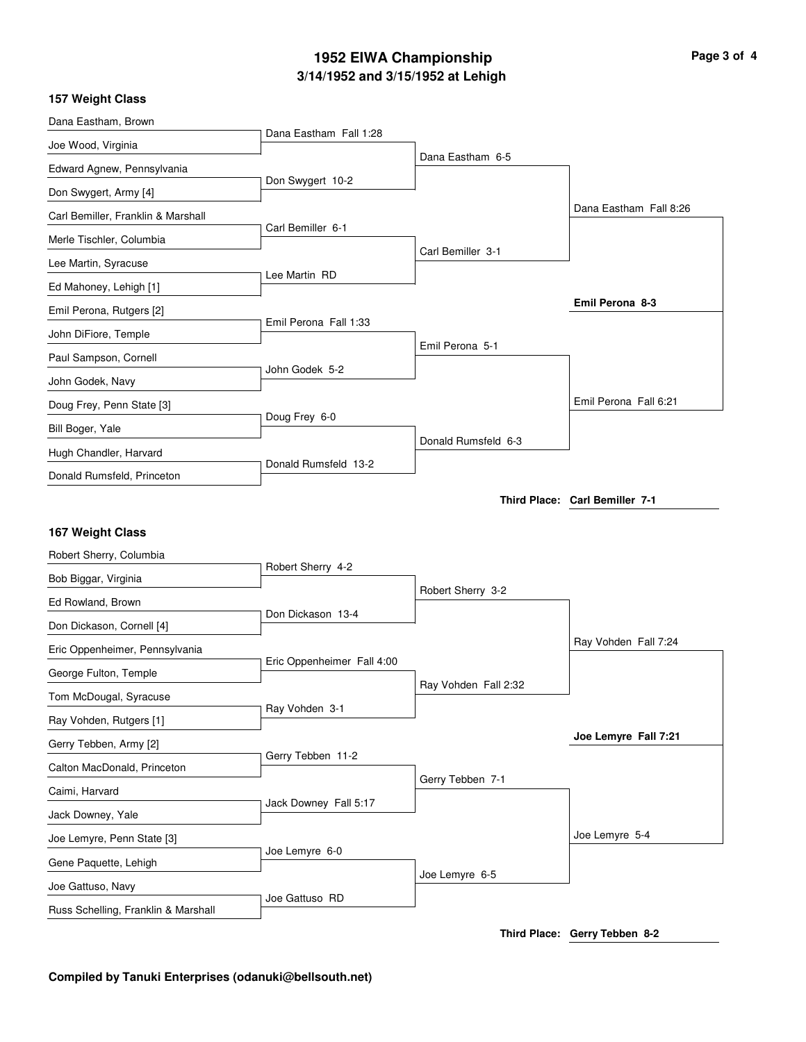## **3/14/1952 and 3/15/1952 at Lehigh 1952 EIWA Championship Page 3 of 4**

#### **157 Weight Class**

| Dana Eastham, Brown                |                            |                      |                                |
|------------------------------------|----------------------------|----------------------|--------------------------------|
| Joe Wood, Virginia                 | Dana Eastham Fall 1:28     |                      |                                |
| Edward Agnew, Pennsylvania         |                            | Dana Eastham 6-5     |                                |
| Don Swygert, Army [4]              | Don Swygert 10-2           |                      |                                |
| Carl Bemiller, Franklin & Marshall |                            |                      | Dana Eastham Fall 8:26         |
| Merle Tischler, Columbia           | Carl Bemiller 6-1          |                      |                                |
| Lee Martin, Syracuse               |                            | Carl Bemiller 3-1    |                                |
| Ed Mahoney, Lehigh [1]             | Lee Martin RD              |                      |                                |
| Emil Perona, Rutgers [2]           |                            |                      | Emil Perona 8-3                |
| John DiFiore, Temple               | Emil Perona Fall 1:33      |                      |                                |
| Paul Sampson, Cornell              |                            | Emil Perona 5-1      |                                |
| John Godek, Navy                   | John Godek 5-2             |                      |                                |
| Doug Frey, Penn State [3]          |                            |                      | Emil Perona Fall 6:21          |
| Bill Boger, Yale                   | Doug Frey 6-0              |                      |                                |
| Hugh Chandler, Harvard             |                            | Donald Rumsfeld 6-3  |                                |
| Donald Rumsfeld, Princeton         | Donald Rumsfeld 13-2       |                      |                                |
|                                    |                            |                      | Third Place: Carl Bemiller 7-1 |
|                                    |                            |                      |                                |
|                                    |                            |                      |                                |
| 167 Weight Class                   |                            |                      |                                |
| Robert Sherry, Columbia            |                            |                      |                                |
| Bob Biggar, Virginia               | Robert Sherry 4-2          |                      |                                |
| Ed Rowland, Brown                  |                            | Robert Sherry 3-2    |                                |
| Don Dickason, Cornell [4]          | Don Dickason 13-4          |                      |                                |
| Eric Oppenheimer, Pennsylvania     |                            |                      | Ray Vohden Fall 7:24           |
| George Fulton, Temple              | Eric Oppenheimer Fall 4:00 |                      |                                |
| Tom McDougal, Syracuse             |                            | Ray Vohden Fall 2:32 |                                |
| Ray Vohden, Rutgers [1]            | Ray Vohden 3-1             |                      |                                |
| Gerry Tebben, Army [2]             |                            |                      | Joe Lemyre Fall 7:21           |
| Calton MacDonald, Princeton        | Gerry Tebben 11-2          |                      |                                |
| Caimi, Harvard                     |                            | Gerry Tebben 7-1     |                                |
| Jack Downey, Yale                  | Jack Downey Fall 5:17      |                      |                                |
| Joe Lemyre, Penn State [3]         |                            |                      | Joe Lemyre 5-4                 |
| Gene Paquette, Lehigh              | Joe Lemyre 6-0             |                      |                                |
| Joe Gattuso, Navy                  | Joe Gattuso RD             | Joe Lemyre 6-5       |                                |

**Third Place: Gerry Tebben 8-2**